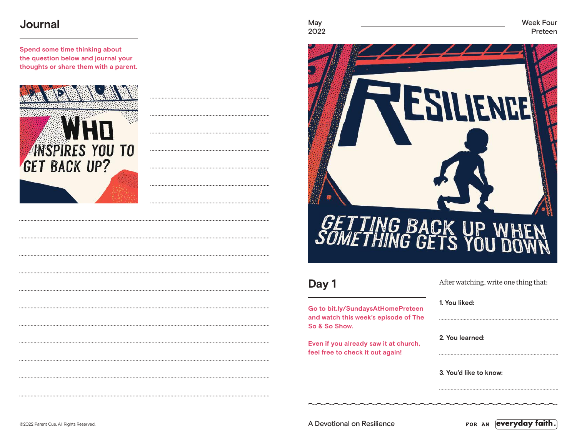### **Journal**

**Spend some time thinking about the question below and journal your thoughts or share them with a parent.**







# **GETTING BACK UP WY**

## **Day 1**

**Go to bit.ly/SundaysAtHomePreteen and watch this week's episode of The So & So Show.**

**Even if you already saw it at church, feel free to check it out again!**

|   | After watching, write one thing that: |
|---|---------------------------------------|
|   | 1. You liked:                         |
| е |                                       |
|   | 2. You learned:                       |
|   |                                       |
|   | 3. You'd like to know:                |
|   |                                       |
|   |                                       |

©2022 Parent Cue. All Rights Reserved. A Devotional on Resilience

FOR AN **everyday faith.**